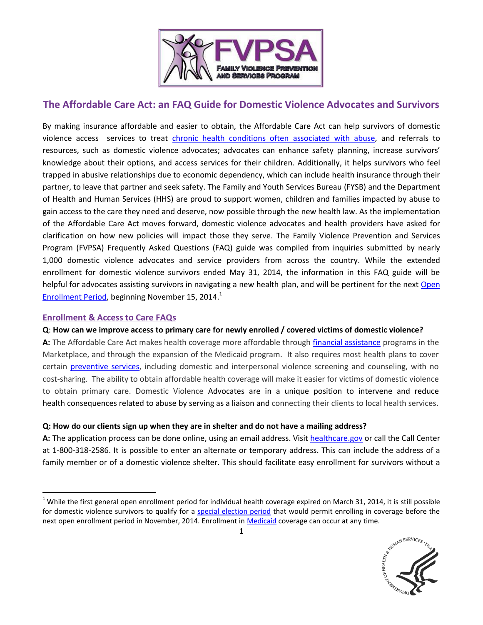

# **The Affordable Care Act: an FAQ Guide for Domestic Violence Advocates and Survivors**

By making insurance affordable and easier to obtain, the Affordable Care Act can help survivors of domestic violence access services to treat [chronic health conditions often associated with abuse,](http://www.cdc.gov/violenceprevention/pdf/nisvs_report2010-a.pdf) and referrals to resources, such as domestic violence advocates; advocates can enhance safety planning, increase survivors' knowledge about their options, and access services for their children. Additionally, it helps survivors who feel trapped in abusive relationships due to economic dependency, which can include health insurance through their partner, to leave that partner and seek safety. The Family and Youth Services Bureau (FYSB) and the Department of Health and Human Services (HHS) are proud to support women, children and families impacted by abuse to gain access to the care they need and deserve, now possible through the new health law. As the implementation of the Affordable Care Act moves forward, domestic violence advocates and health providers have asked for clarification on how new policies will impact those they serve. The Family Violence Prevention and Services Program (FVPSA) Frequently Asked Questions (FAQ) guide was compiled from inquiries submitted by nearly 1,000 domestic violence advocates and service providers from across the country. While the extended enrollment for domestic violence survivors ended May 31, 2014, the information in this FAQ guide will be helpful for advocates assisting survivors in navigating a new health plan, and will be pertinent for the next [Open](https://www.healthcare.gov/how-can-i-get-coverage-outside-of-open-enrollment/#part=7)  [Enrollment Period,](https://www.healthcare.gov/how-can-i-get-coverage-outside-of-open-enrollment/#part=7) beginning November 15, 2014.<sup>1</sup>

#### **Enrollment & Access to Care FAQs**

 $\overline{a}$ 

#### **Q**: **How can we improve access to primary care for newly enrolled / covered victims of domestic violence?**

**A:** The Affordable Care Act makes health coverage more affordable through [financial assistance](https://www.healthcare.gov/how-can-i-save-money-on-marketplace-coverage/) programs in the Marketplace, and through the expansion of the Medicaid program. It also requires most health plans to cover certain [preventive services,](http://www.acf.hhs.gov/sites/default/files/fysb/aca_fvpsa_20131211.pdf) including domestic and interpersonal violence screening and counseling, with no cost-sharing. The ability to obtain affordable health coverage will make it easier for victims of domestic violence to obtain primary care. Domestic Violence Advocates are in a unique position to intervene and reduce health consequences related to abuse by serving as a liaison and connecting their clients to local health services.

#### **Q: How do our clients sign up when they are in shelter and do not have a mailing address?**

A: The application process can be done online, using an email address. Visit [healthcare.gov](https://www.healthcare.gov/how-do-i-apply-for-marketplace-coverage/) or call the Call Center at 1-800-318-2586. It is possible to enter an alternate or temporary address. This can include the address of a family member or of a domestic violence shelter. This should facilitate easy enrollment for survivors without a

 $1$  While the first general open enrollment period for individual health coverage expired on March 31, 2014, it is still possible for domestic violence survivors to qualify for a [special election period](https://www.healthcare.gov/sep-list/) that would permit enrolling in coverage before the next open enrollment period in November, 2014. Enrollment in [Medicaid](https://www.healthcare.gov/do-i-qualify-for-medicaid/) coverage can occur at any time.

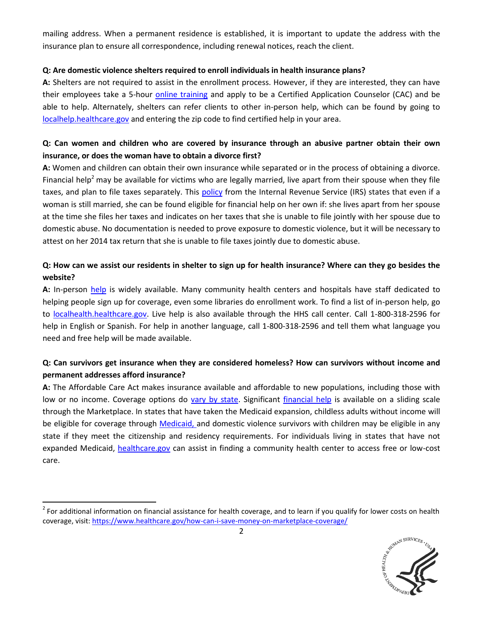mailing address. When a permanent residence is established, it is important to update the address with the insurance plan to ensure all correspondence, including renewal notices, reach the client.

#### **Q: Are domestic violence shelters required to enroll individuals in health insurance plans?**

**A:** Shelters are not required to assist in the enrollment process. However, if they are interested, they can have their employees take a 5-hour *online training* and apply to be a Certified Application Counselor (CAC) and be able to help. Alternately, shelters can refer clients to other in-person help, which can be found by going to [localhelp.healthcare.gov](https://localhelp.healthcare.gov/) and entering the zip code to find certified help in your area.

# **Q: Can women and children who are covered by insurance through an abusive partner obtain their own insurance, or does the woman have to obtain a divorce first?**

**A:** Women and children can obtain their own insurance while separated or in the process of obtaining a divorce. Financial help<sup>2</sup> may be available for victims who are legally married, live apart from their spouse when they file taxes, and plan to file taxes separately. This [policy](http://www.irs.gov/pub/irs-drop/n-14-23.pdf) from the Internal Revenue Service (IRS) states that even if a woman is still married, she can be found eligible for financial help on her own if: she lives apart from her spouse at the time she files her taxes and indicates on her taxes that she is unable to file jointly with her spouse due to domestic abuse. No documentation is needed to prove exposure to domestic violence, but it will be necessary to attest on her 2014 tax return that she is unable to file taxes jointly due to domestic abuse.

# **Q: How can we assist our residents in shelter to sign up for health insurance? Where can they go besides the website?**

**A:** In-person [help](https://www.healthcare.gov/how-do-i-get-help-enrolling-in-the-marketplace/) is widely available. Many community health centers and hospitals have staff dedicated to helping people sign up for coverage, even some libraries do enrollment work. To find a list of in-person help, go to [localhealth.healthcare.gov.](https://localhelp.healthcare.gov/) Live help is also available through the HHS call center. Call 1-800-318-2596 for help in English or Spanish. For help in another language, call 1-800-318-2596 and tell them what language you need and free help will be made available.

# **Q: Can survivors get insurance when they are considered homeless? How can survivors without income and permanent addresses afford insurance?**

**A:** The Affordable Care Act makes insurance available and affordable to new populations, including those with low or no income. Coverage options do [vary by state.](https://www.healthcare.gov/what-is-the-marketplace-in-my-state/) Significant [financial help](https://www.healthcare.gov/how-can-i-save-money-on-marketplace-coverage/) is available on a sliding scale through the Marketplace. In states that have taken the Medicaid expansion, childless adults without income will be eligible for coverage through [Medicaid,](https://www.healthcare.gov/do-i-qualify-for-medicaid/) and domestic violence survivors with children may be eligible in any state if they meet the citizenship and residency requirements. For individuals living in states that have not expanded Medicaid, [healthcare.gov](https://www.healthcare.gov/where-can-i-get-free-or-low-cost-care/) can assist in finding a community health center to access free or low-cost care.

l



 $^2$  For additional information on financial assistance for health coverage, and to learn if you qualify for lower costs on health coverage, visit:<https://www.healthcare.gov/how-can-i-save-money-on-marketplace-coverage/>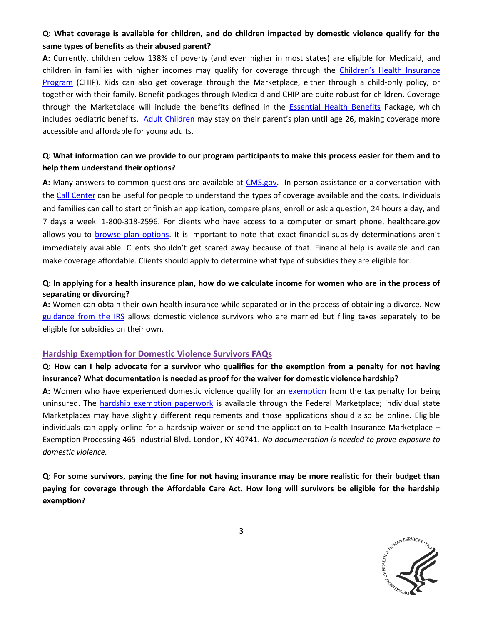# **Q: What coverage is available for children, and do children impacted by domestic violence qualify for the same types of benefits as their abused parent?**

**A:** Currently, children below 138% of poverty (and even higher in most states) are eligible for Medicaid, and children in families with higher incomes may qualify for coverage through the Children's [Health Insurance](https://www.healthcare.gov/are-my-children-eligible-for-chip/)  [Program](https://www.healthcare.gov/are-my-children-eligible-for-chip/) (CHIP). Kids can also get coverage through the Marketplace, either through a child-only policy, or together with their family. Benefit packages through Medicaid and CHIP are quite robust for children. Coverage through the Marketplace will include the benefits defined in the [Essential](https://www.healthcare.gov/blog/10-health-care-benefits-covered-in-the-health-insurance-marketplace/) Health Benefits Package, which includes pediatric benefits. [Adult Children](https://www.healthcare.gov/can-i-keep-my-child-on-my-insurance-until-age-26/) may stay on their parent's plan until age 26, making coverage more accessible and affordable for young adults.

### **Q: What information can we provide to our program participants to make this process easier for them and to help them understand their options?**

**A:** Many answers to common questions are available at [CMS.gov.](https://questions.cms.gov/faq.php?id=5005&rtopic=1993) In-person assistance or a conversation with the [Call Center](https://www.healthcare.gov/contact-us/) can be useful for people to understand the types of coverage available and the costs. Individuals and families can call to start or finish an application, compare plans, enroll or ask a question, 24 hours a day, and 7 days a week: 1-800-318-2596. For clients who have access to a computer or smart phone, healthcare.gov allows you to [browse plan options.](https://www.healthcare.gov/find-premium-estimates/) It is important to note that exact financial subsidy determinations aren't immediately available. Clients shouldn't get scared away because of that. Financial help is available and can make coverage affordable. Clients should apply to determine what type of subsidies they are eligible for.

### **Q: In applying for a health insurance plan, how do we calculate income for women who are in the process of separating or divorcing?**

**A:** Women can obtain their own health insurance while separated or in the process of obtaining a divorce. New [guidance from the IRS](http://www.irs.gov/pub/irs-drop/n-14-23.pdf) allows domestic violence survivors who are married but filing taxes separately to be eligible for subsidies on their own.

#### **Hardship Exemption for Domestic Violence Survivors FAQs**

# **Q: How can I help advocate for a survivor who qualifies for the exemption from a penalty for not having insurance? What documentation is needed as proof for the waiver for domestic violence hardship?**

**A:** Women who have experienced domestic violence qualify for an [exemption](https://www.healthcare.gov/exemptions/) from the tax penalty for being uninsured. The [hardship exemption paperwork](http://marketplace.cms.gov/getofficialresources/publications-and-articles/hardship-exemption.pdf) is available through the Federal Marketplace; individual state Marketplaces may have slightly different requirements and those applications should also be online. Eligible individuals can apply online for a hardship waiver or send the application to Health Insurance Marketplace – Exemption Processing 465 Industrial Blvd. London, KY 40741. *No documentation is needed to prove exposure to domestic violence.*

**Q: For some survivors, paying the fine for not having insurance may be more realistic for their budget than paying for coverage through the Affordable Care Act. How long will survivors be eligible for the hardship exemption?**

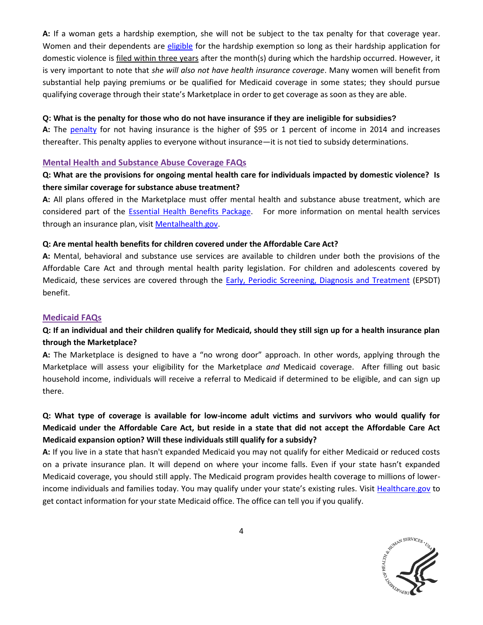**A:** If a woman gets a hardship exemption, she will not be subject to the tax penalty for that coverage year. Women and their dependents are [eligible](http://www.cms.gov/CCIIO/Resources/Regulations-and-Guidance/Downloads/exemptions-guidance-6-26-2013.pdf) for the hardship exemption so long as their hardship application for domestic violence is filed within three years after the month(s) during which the hardship occurred. However, it is very important to note that *she will also not have health insurance coverage*. Many women will benefit from substantial help paying premiums or be qualified for Medicaid coverage in some states; they should pursue qualifying coverage through their state's Marketplace in order to get coverage as soon as they are able.

#### **Q: What is the penalty for those who do not have insurance if they are ineligible for subsidies?**

**A:** The [penalty](https://www.healthcare.gov/what-if-someone-doesnt-have-health-coverage-in-2014/) for not having insurance is the higher of \$95 or 1 percent of income in 2014 and increases thereafter. This penalty applies to everyone without insurance—it is not tied to subsidy determinations.

#### **Mental Health and Substance Abuse Coverage FAQs**

## **Q: What are the provisions for ongoing mental health care for individuals impacted by domestic violence? Is there similar coverage for substance abuse treatment?**

**A:** All plans offered in the Marketplace must offer mental health and substance abuse treatment, which are considered part of the [Essential Health Benefits Package.](https://www.healthcare.gov/blog/10-health-care-benefits-covered-in-the-health-insurance-marketplace/) For more information on mental health services through an insurance plan, visit [Mentalhealth.gov.](http://www.mentalhealth.gov/get-help/health-insurance/index.html)

#### **Q: Are mental health benefits for children covered under the Affordable Care Act?**

**A:** Mental, behavioral and substance use services are available to children under both the provisions of the Affordable Care Act and through mental health parity legislation. For children and adolescents covered by Medicaid, these services are covered through the [Early, Periodic Screening, Diagnosis and Treatment](http://www.medicaid.gov/Medicaid-CHIP-Program-Information/By-Topics/Benefits/Early-and-Periodic-Screening-Diagnostic-and-Treatment.html) (EPSDT) benefit.

#### **Medicaid FAQs**

# **Q: If an individual and their children qualify for Medicaid, should they still sign up for a health insurance plan through the Marketplace?**

**A:** The Marketplace is designed to have a "no wrong door" approach. In other words, applying through the Marketplace will assess your eligibility for the Marketplace *and* Medicaid coverage. After filling out basic household income, individuals will receive a referral to Medicaid if determined to be eligible, and can sign up there.

# **Q: What type of coverage is available for low-income adult victims and survivors who would qualify for Medicaid under the Affordable Care Act, but reside in a state that did not accept the Affordable Care Act Medicaid expansion option? Will these individuals still qualify for a subsidy?**

**A:** If you live in a state that hasn't expanded Medicaid you may not qualify for either Medicaid or reduced costs on a private insurance plan. It will depend on where your income falls. Even if your state hasn't expanded Medicaid coverage, you should still apply. The Medicaid program provides health coverage to millions of lowerincome individuals and families today. You may qualify under your state's existing rules. Visit [Healthcare.gov](https://www.healthcare.gov/what-if-my-state-is-not-expanding-medicaid/) to get contact information for your state Medicaid office. The office can tell you if you qualify.

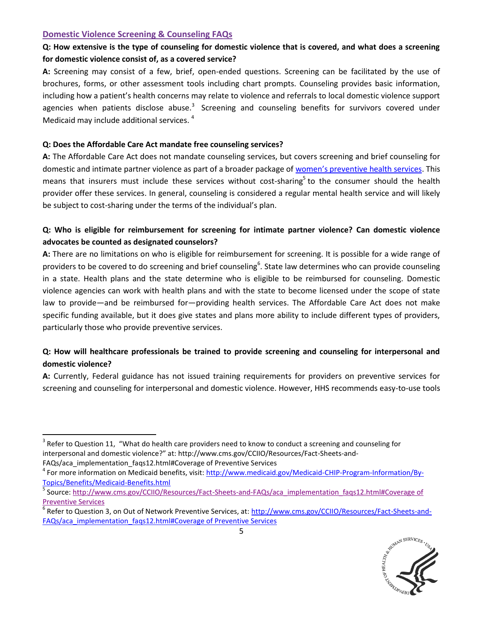### **Domestic Violence Screening & Counseling FAQs**

l

# **Q: How extensive is the type of counseling for domestic violence that is covered, and what does a screening for domestic violence consist of, as a covered service?**

**A:** Screening may consist of a few, brief, open-ended questions. Screening can be facilitated by the use of brochures, forms, or other assessment tools including chart prompts. Counseling provides basic information, including how a patient's health concerns may relate to violence and referrals to local domestic violence support agencies when patients disclose abuse.<sup>3</sup> Screening and counseling benefits for survivors covered under Medicaid may include additional services. <sup>4</sup>

### **Q: Does the Affordable Care Act mandate free counseling services?**

**A:** The Affordable Care Act does not mandate counseling services, but covers screening and brief counseling for domestic and intimate partner violence as part of a broader package of [women's preventive health services](http://www.womenshealth.gov/publications/our-publications/fact-sheet/screening-counseling-fact-sheet.html). This means that insurers must include these services without cost-sharing<sup>5</sup> to the consumer should the health provider offer these services. In general, counseling is considered a regular mental health service and will likely be subject to cost-sharing under the terms of the individual's plan.

# **Q: Who is eligible for reimbursement for screening for intimate partner violence? Can domestic violence advocates be counted as designated counselors?**

**A:** There are no limitations on who is eligible for reimbursement for screening. It is possible for a wide range of providers to be covered to do screening and brief counseling<sup>6</sup>. State law determines who can provide counseling in a state. Health plans and the state determine who is eligible to be reimbursed for counseling. Domestic violence agencies can work with health plans and with the state to become licensed under the scope of state law to provide—and be reimbursed for—providing health services. The Affordable Care Act does not make specific funding available, but it does give states and plans more ability to include different types of providers, particularly those who provide preventive services.

# **Q: How will healthcare professionals be trained to provide screening and counseling for interpersonal and domestic violence?**

**A:** Currently, Federal guidance has not issued training requirements for providers on preventive services for screening and counseling for interpersonal and domestic violence. However, HHS recommends easy-to-use tools

<sup>&</sup>lt;sup>6</sup> Refer to Question 3, on Out of Network Preventive Services, at: <u>http://www.cms.gov/CCIIO/Resources/Fact-Sheets-and-</u> [FAQs/aca\\_implementation\\_faqs12.html#Coverage of Preventive Services](http://www.cms.gov/CCIIO/Resources/Fact-Sheets-and-FAQs/aca_implementation_faqs12.html%23Coverage%20of%20Preventive%20Services)



 $3$  Refer to Question 11, "What do health care providers need to know to conduct a screening and counseling for interpersonal and domestic violence?" at: http://www.cms.gov/CCIIO/Resources/Fact-Sheets-and-FAQs/aca\_implementation\_faqs12.html#Coverage of Preventive Services

<sup>&</sup>lt;sup>4</sup> For more information on Medicaid benefits, visit[: http://www.medicaid.gov/Medicaid-CHIP-Program-Information/By-](http://www.medicaid.gov/Medicaid-CHIP-Program-Information/By-Topics/Benefits/Medicaid-Benefits.html)[Topics/Benefits/Medicaid-Benefits.html](http://www.medicaid.gov/Medicaid-CHIP-Program-Information/By-Topics/Benefits/Medicaid-Benefits.html)

<sup>5</sup> Source: [http://www.cms.gov/CCIIO/Resources/Fact-Sheets-and-FAQs/aca\\_implementation\\_faqs12.html#Coverage of](http://www.cms.gov/CCIIO/Resources/Fact-Sheets-and-FAQs/aca_implementation_faqs12.html#Coverage of Preventive Services)  [Preventive Services](http://www.cms.gov/CCIIO/Resources/Fact-Sheets-and-FAQs/aca_implementation_faqs12.html#Coverage of Preventive Services)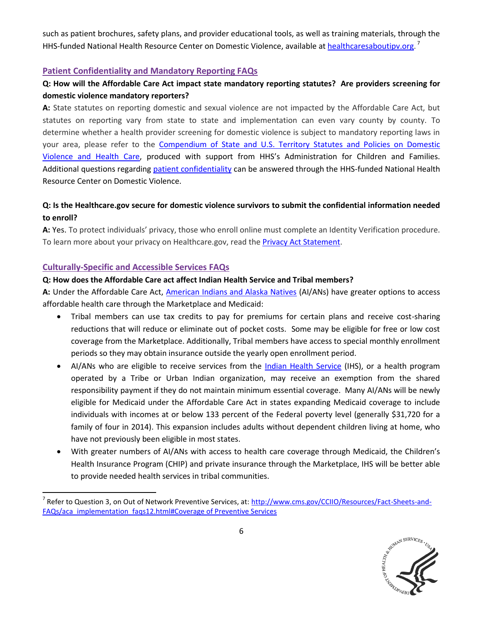such as patient brochures, safety plans, and provider educational tools, as well as training materials, through the HHS-funded National Health Resource Center on Domestic Violence, available at [healthcaresaboutipv.org.](http://www.healthcaresaboutipv.org/tools/) <sup>7</sup>

### **Patient Confidentiality and Mandatory Reporting FAQs**

# **Q: How will the Affordable Care Act impact state mandatory reporting statutes? Are providers screening for domestic violence mandatory reporters?**

**A:** State statutes on reporting domestic and sexual violence are not impacted by the Affordable Care Act, but statutes on reporting vary from state to state and implementation can even vary county by county. To determine whether a health provider screening for domestic violence is subject to mandatory reporting laws in your area, please refer to the [Compendium of State and U.S. Territory Statutes and Policies on Domestic](http://www.futureswithoutviolence.org/content/features/detail/1584/)  [Violence and Health Care](http://www.futureswithoutviolence.org/content/features/detail/1584/), produced with support from HHS's Administration for Children and Families. Additional questions regarding [patient confidentiality](http://www.healthcaresaboutipv.org/tools/disclosing-limits-of-confidentiality/) can be answered through the HHS-funded National Health Resource Center on Domestic Violence.

## **Q: Is the Healthcare.gov secure for domestic violence survivors to submit the confidential information needed to enroll?**

**A:** Yes. To protect individuals' privacy, those who enroll online must complete an Identity Verification procedure. To learn more about your privacy on Healthcare.gov, read the **Privacy Act Statement**.

### **Culturally-Specific and Accessible Services FAQs**

 $\overline{a}$ 

#### **Q: How does the Affordable Care act affect Indian Health Service and Tribal members?**

**A:** Under the Affordable Care Act, [American Indians and Alaska Natives](https://www.healthcare.gov/if-im-an-american-indian-or-alaska-native-what-do-i-need-to-know-about-the-marketplace/f) (AI/ANs) have greater options to access affordable health care through the Marketplace and Medicaid:

- Tribal members can use tax credits to pay for premiums for certain plans and receive cost-sharing reductions that will reduce or eliminate out of pocket costs. Some may be eligible for free or low cost coverage from the Marketplace. Additionally, Tribal members have access to special monthly enrollment periods so they may obtain insurance outside the yearly open enrollment period.
- AI/ANs who are eligible to receive services from the [Indian Health Service](http://www.ihs.gov/newsroom/includes/themes/newihstheme/display_objects/documents/Fact_Sheet.pdf) (IHS), or a health program operated by a Tribe or Urban Indian organization, may receive an exemption from the shared responsibility payment if they do not maintain minimum essential coverage. Many AI/ANs will be newly eligible for Medicaid under the Affordable Care Act in states expanding Medicaid coverage to include individuals with incomes at or below 133 percent of the Federal poverty level (generally \$31,720 for a family of four in 2014). This expansion includes adults without dependent children living at home, who have not previously been eligible in most states.
- With greater numbers of AI/ANs with access to health care coverage through Medicaid, the Children's Health Insurance Program (CHIP) and private insurance through the Marketplace, IHS will be better able to provide needed health services in tribal communities.

<sup>&</sup>lt;sup>7</sup> Refer to Question 3, on Out of Network Preventive Services, at: <u>http://www.cms.gov/CCIIO/Resources/Fact-Sheets-and-</u> [FAQs/aca\\_implementation\\_faqs12.html#Coverage of Preventive Services](http://www.cms.gov/CCIIO/Resources/Fact-Sheets-and-FAQs/aca_implementation_faqs12.html%23Coverage%20of%20Preventive%20Services)